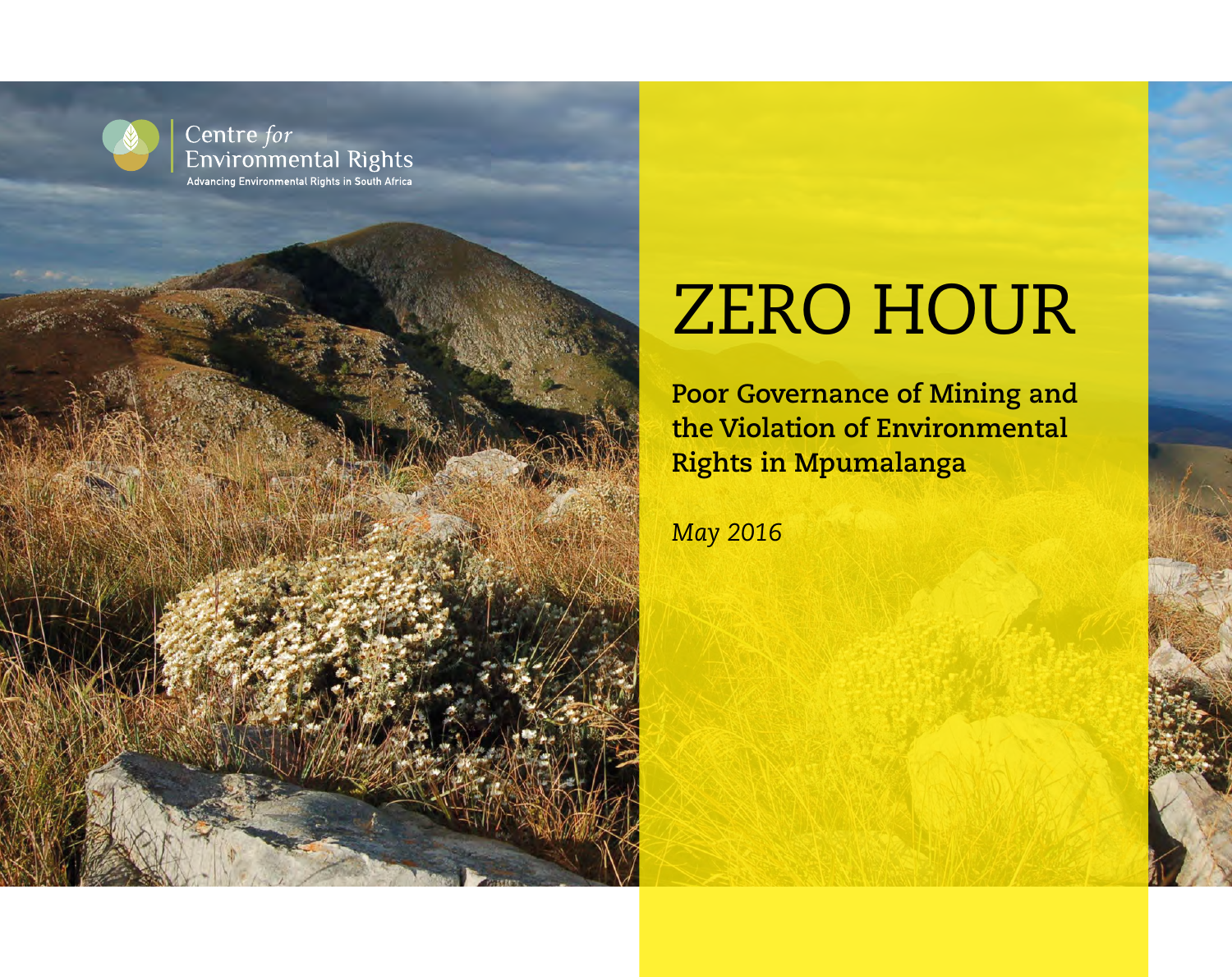

Centre for **Environmental Rights** Advancing Environmental Rights in South Africa

## ZERO HOUR

**Poor Governance of Mining and the Violation of Environmental Rights in Mpumalanga**

*May 2016*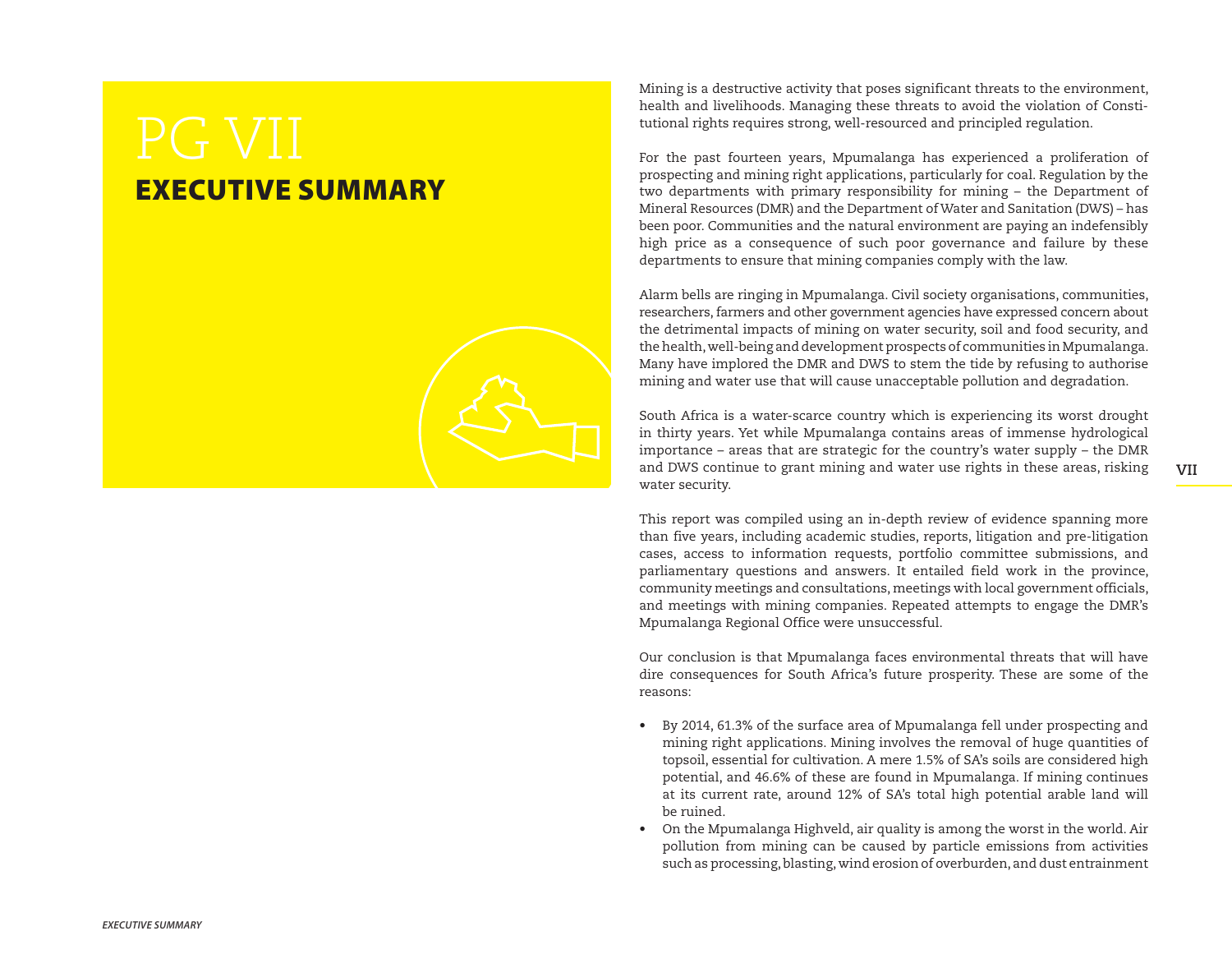## EXECUTIVE SUMMARY



Mining is a destructive activity that poses significant threats to the environment, health and livelihoods. Managing these threats to avoid the violation of Constitutional rights requires strong, well-resourced and principled regulation.

For the past fourteen years, Mpumalanga has experienced a proliferation of prospecting and mining right applications, particularly for coal. Regulation by the two departments with primary responsibility for mining – the Department of Mineral Resources (DMR) and the Department of Water and Sanitation (DWS) – has been poor. Communities and the natural environment are paying an indefensibly high price as a consequence of such poor governance and failure by these departments to ensure that mining companies comply with the law.

Alarm bells are ringing in Mpumalanga. Civil society organisations, communities, researchers, farmers and other government agencies have expressed concern about the detrimental impacts of mining on water security, soil and food security, and the health, well-being and development prospects of communities in Mpumalanga. Many have implored the DMR and DWS to stem the tide by refusing to authorise mining and water use that will cause unacceptable pollution and degradation.

South Africa is a water-scarce country which is experiencing its worst drought in thirty years. Yet while Mpumalanga contains areas of immense hydrological importance – areas that are strategic for the country's water supply – the DMR and DWS continue to grant mining and water use rights in these areas, risking water security.

**VII** 

This report was compiled using an in-depth review of evidence spanning more than five years, including academic studies, reports, litigation and pre-litigation cases, access to information requests, portfolio committee submissions, and parliamentary questions and answers. It entailed field work in the province, community meetings and consultations, meetings with local government officials, and meetings with mining companies. Repeated attempts to engage the DMR's Mpumalanga Regional Office were unsuccessful.

Our conclusion is that Mpumalanga faces environmental threats that will have dire consequences for South Africa's future prosperity. These are some of the reasons:

- By 2014, 61.3% of the surface area of Mpumalanga fell under prospecting and mining right applications. Mining involves the removal of huge quantities of topsoil, essential for cultivation. A mere 1.5% of SA's soils are considered high potential, and 46.6% of these are found in Mpumalanga. If mining continues at its current rate, around 12% of SA's total high potential arable land will be ruined.
- On the Mpumalanga Highveld, air quality is among the worst in the world. Air pollution from mining can be caused by particle emissions from activities such as processing, blasting, wind erosion of overburden, and dust entrainment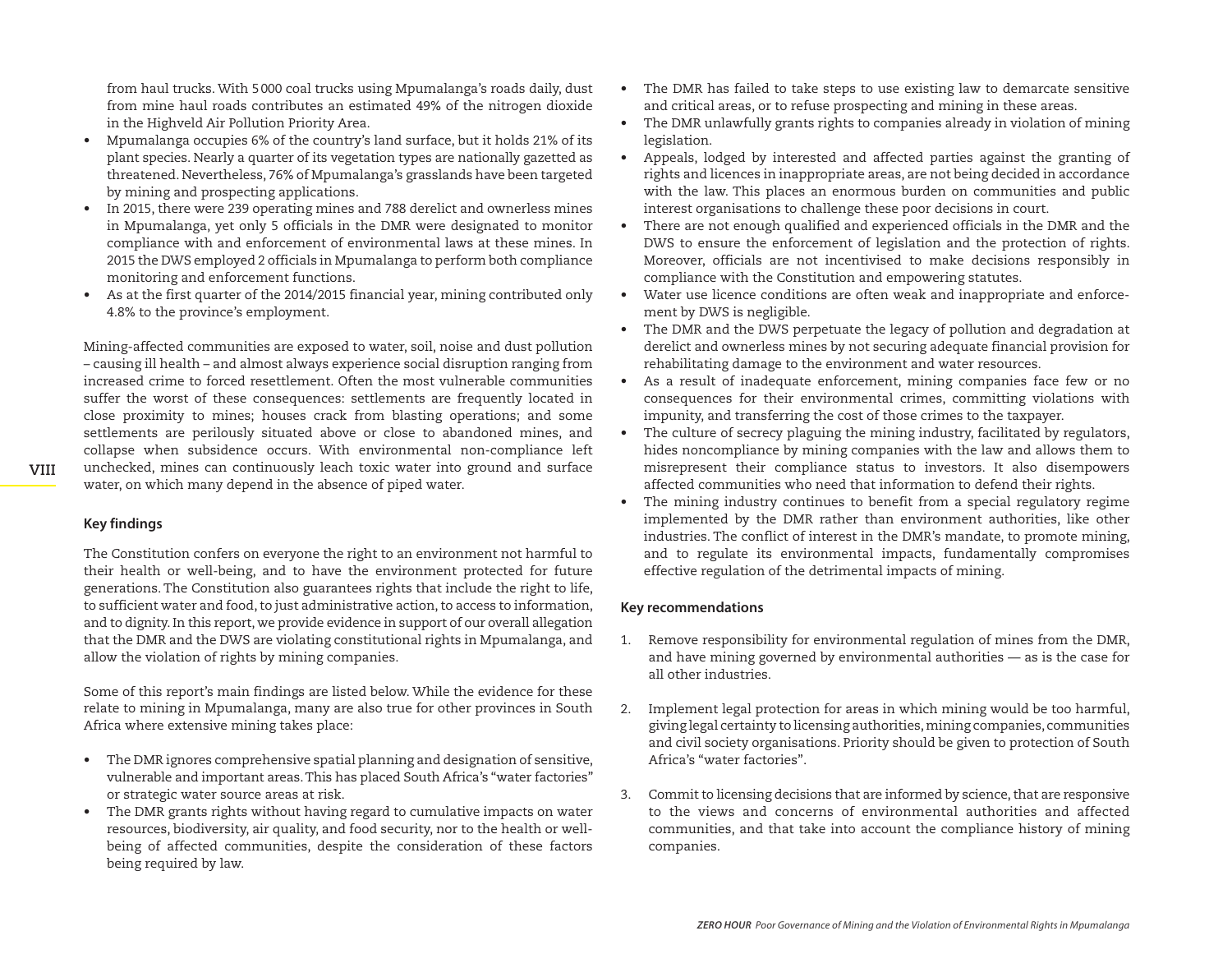from haul trucks. With 5000 coal trucks using Mpumalanga's roads daily, dust from mine haul roads contributes an estimated 49% of the nitrogen dioxide in the Highveld Air Pollution Priority Area.

- Mpumalanga occupies 6% of the country's land surface, but it holds 21% of its plant species. Nearly a quarter of its vegetation types are nationally gazetted as threatened. Nevertheless, 76% of Mpumalanga's grasslands have been targeted by mining and prospecting applications.
- In 2015, there were 239 operating mines and 788 derelict and ownerless mines in Mpumalanga, yet only 5 officials in the DMR were designated to monitor compliance with and enforcement of environmental laws at these mines. In 2015 the DWS employed 2 officials in Mpumalanga to perform both compliance monitoring and enforcement functions.
- As at the first quarter of the 2014/2015 financial year, mining contributed only 4.8% to the province's employment.

Mining-affected communities are exposed to water, soil, noise and dust pollution – causing ill health – and almost always experience social disruption ranging from increased crime to forced resettlement. Often the most vulnerable communities suffer the worst of these consequences: settlements are frequently located in close proximity to mines; houses crack from blasting operations; and some settlements are perilously situated above or close to abandoned mines, and collapse when subsidence occurs. With environmental non-compliance left unchecked, mines can continuously leach toxic water into ground and surface water, on which many depend in the absence of piped water.

**Key findings**

The Constitution confers on everyone the right to an environment not harmful to their health or well-being, and to have the environment protected for future generations. The Constitution also guarantees rights that include the right to life, to sufficient water and food, to just administrative action, to access to information, and to dignity. In this report, we provide evidence in support of our overall allegation that the DMR and the DWS are violating constitutional rights in Mpumalanga, and allow the violation of rights by mining companies.

Some of this report's main findings are listed below. While the evidence for these relate to mining in Mpumalanga, many are also true for other provinces in South Africa where extensive mining takes place:

- The DMR ignores comprehensive spatial planning and designation of sensitive, vulnerable and important areas. This has placed South Africa's "water factories" or strategic water source areas at risk.
- The DMR grants rights without having regard to cumulative impacts on water resources, biodiversity, air quality, and food security, nor to the health or wellbeing of affected communities, despite the consideration of these factors being required by law.
- The DMR has failed to take steps to use existing law to demarcate sensitive and critical areas, or to refuse prospecting and mining in these areas.
- The DMR unlawfully grants rights to companies already in violation of mining legislation.
- Appeals, lodged by interested and affected parties against the granting of rights and licences in inappropriate areas, are not being decided in accordance with the law. This places an enormous burden on communities and public interest organisations to challenge these poor decisions in court.
- There are not enough qualified and experienced officials in the DMR and the DWS to ensure the enforcement of legislation and the protection of rights. Moreover, officials are not incentivised to make decisions responsibly in compliance with the Constitution and empowering statutes.
- Water use licence conditions are often weak and inappropriate and enforcement by DWS is negligible.
- The DMR and the DWS perpetuate the legacy of pollution and degradation at derelict and ownerless mines by not securing adequate financial provision for rehabilitating damage to the environment and water resources.
- As a result of inadequate enforcement, mining companies face few or no consequences for their environmental crimes, committing violations with impunity, and transferring the cost of those crimes to the taxpayer.
- The culture of secrecy plaguing the mining industry, facilitated by regulators, hides noncompliance by mining companies with the law and allows them to misrepresent their compliance status to investors. It also disempowers affected communities who need that information to defend their rights.
- The mining industry continues to benefit from a special regulatory regime implemented by the DMR rather than environment authorities, like other industries. The conflict of interest in the DMR's mandate, to promote mining, and to regulate its environmental impacts, fundamentally compromises effective regulation of the detrimental impacts of mining.

## **Key recommendations**

- 1. Remove responsibility for environmental regulation of mines from the DMR, and have mining governed by environmental authorities — as is the case for all other industries.
- 2. Implement legal protection for areas in which mining would be too harmful, giving legal certainty to licensing authorities, mining companies, communities and civil society organisations. Priority should be given to protection of South Africa's "water factories".
- 3. Commit to licensing decisions that are informed by science, that are responsive to the views and concerns of environmental authorities and affected communities, and that take into account the compliance history of mining companies.